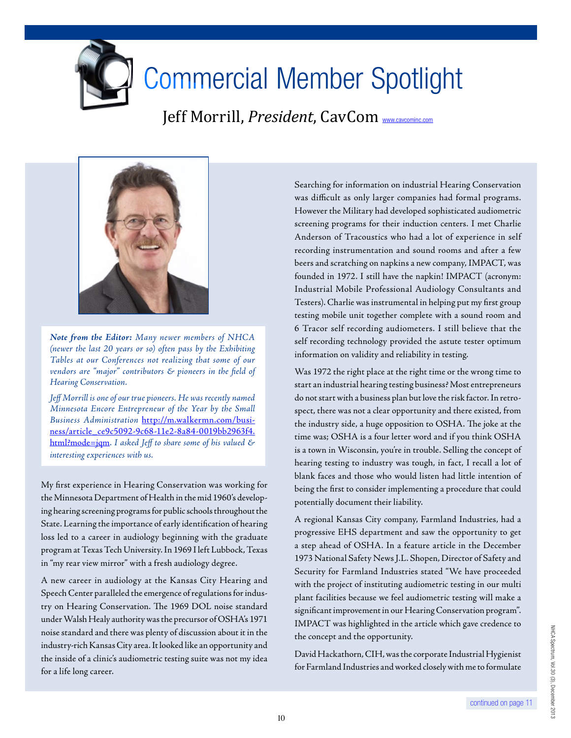

## Commercial Member Spotlight

Jeff Morrill, *President*, CavCom <www.cavcominc.com>



*Note from the Editor: Many newer members of NHCA (newer the last 20 years or so) often pass by the Exhibiting Tables at our Conferences not realizing that some of our vendors are "major" contributors & pioneers in the field of Hearing Conservation.*

*Jeff Morrill is one of our true pioneers. He was recently named Minnesota Encore Entrepreneur of the Year by the Small Business Administration* [http://m.walkermn.com/busi](http://m.walkermn.com/business/article_ce9c5092-9c68-11e2-8a84-0019bb2963f4.html?mode=jqm)[ness/article\\_ce9c5092-9c68-11e2-8a84-0019bb2963f4.](http://m.walkermn.com/business/article_ce9c5092-9c68-11e2-8a84-0019bb2963f4.html?mode=jqm) [html?mode=jqm.](http://m.walkermn.com/business/article_ce9c5092-9c68-11e2-8a84-0019bb2963f4.html?mode=jqm) *I asked Jeff to share some of his valued & interesting experiences with us.*

My first experience in Hearing Conservation was working for the Minnesota Department of Health in the mid 1960's developing hearing screening programs for public schools throughout the State. Learning the importance of early identification of hearing loss led to a career in audiology beginning with the graduate program at Texas Tech University. In 1969 I left Lubbock, Texas in "my rear view mirror" with a fresh audiology degree.

A new career in audiology at the Kansas City Hearing and Speech Center paralleled the emergence of regulations for industry on Hearing Conservation. The 1969 DOL noise standard under Walsh Healy authority was the precursor of OSHA's 1971 noise standard and there was plenty of discussion about it in the industry-rich Kansas City area. It looked like an opportunity and the inside of a clinic's audiometric testing suite was not my idea for a life long career.

Searching for information on industrial Hearing Conservation was difficult as only larger companies had formal programs. However the Military had developed sophisticated audiometric screening programs for their induction centers. I met Charlie Anderson of Tracoustics who had a lot of experience in self recording instrumentation and sound rooms and after a few beers and scratching on napkins a new company, IMPACT, was founded in 1972. I still have the napkin! IMPACT (acronym: Industrial Mobile Professional Audiology Consultants and Testers). Charlie was instrumental in helping put my first group testing mobile unit together complete with a sound room and 6 Tracor self recording audiometers. I still believe that the self recording technology provided the astute tester optimum information on validity and reliability in testing.

Was 1972 the right place at the right time or the wrong time to start an industrial hearing testing business? Most entrepreneurs do not start with a business plan but love the risk factor. In retrospect, there was not a clear opportunity and there existed, from the industry side, a huge opposition to OSHA. The joke at the time was; OSHA is a four letter word and if you think OSHA is a town in Wisconsin, you're in trouble. Selling the concept of hearing testing to industry was tough, in fact, I recall a lot of blank faces and those who would listen had little intention of being the first to consider implementing a procedure that could potentially document their liability.

A regional Kansas City company, Farmland Industries, had a progressive EHS department and saw the opportunity to get a step ahead of OSHA. In a feature article in the December 1973 National Safety News J.L. Shopen, Director of Safety and Security for Farmland Industries stated "We have proceeded with the project of instituting audiometric testing in our multi plant facilities because we feel audiometric testing will make a significant improvement in our Hearing Conservation program". IMPACT was highlighted in the article which gave credence to the concept and the opportunity.

David Hackathorn, CIH, was the corporate Industrial Hygienist for Farmland Industries and worked closely with me to formulate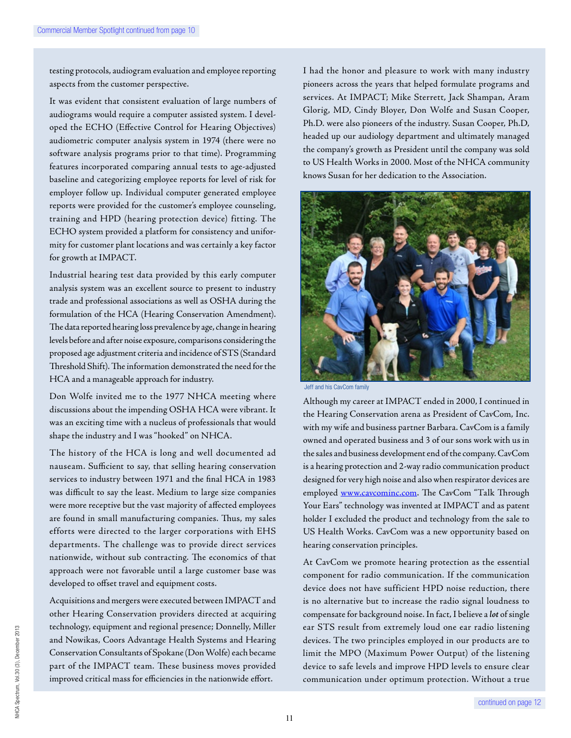testing protocols, audiogram evaluation and employee reporting aspects from the customer perspective.

It was evident that consistent evaluation of large numbers of audiograms would require a computer assisted system. I developed the ECHO (Effective Control for Hearing Objectives) audiometric computer analysis system in 1974 (there were no software analysis programs prior to that time). Programming features incorporated comparing annual tests to age-adjusted baseline and categorizing employee reports for level of risk for employer follow up. Individual computer generated employee reports were provided for the customer's employee counseling, training and HPD (hearing protection device) fitting. The ECHO system provided a platform for consistency and uniformity for customer plant locations and was certainly a key factor for growth at IMPACT.

Industrial hearing test data provided by this early computer analysis system was an excellent source to present to industry trade and professional associations as well as OSHA during the formulation of the HCA (Hearing Conservation Amendment). The data reported hearing loss prevalence by age, change in hearing levels before and after noise exposure, comparisons considering the proposed age adjustment criteria and incidence of STS (Standard Threshold Shift). The information demonstrated the need for the HCA and a manageable approach for industry.

Don Wolfe invited me to the 1977 NHCA meeting where discussions about the impending OSHA HCA were vibrant. It was an exciting time with a nucleus of professionals that would shape the industry and I was "hooked" on NHCA.

The history of the HCA is long and well documented ad nauseam. Sufficient to say, that selling hearing conservation services to industry between 1971 and the final HCA in 1983 was difficult to say the least. Medium to large size companies were more receptive but the vast majority of affected employees are found in small manufacturing companies. Thus, my sales efforts were directed to the larger corporations with EHS departments. The challenge was to provide direct services nationwide, without sub contracting. The economics of that approach were not favorable until a large customer base was developed to offset travel and equipment costs.

Acquisitions and mergers were executed between IMPACT and other Hearing Conservation providers directed at acquiring technology, equipment and regional presence; Donnelly, Miller and Nowikas, Coors Advantage Health Systems and Hearing Conservation Consultants of Spokane (Don Wolfe) each became part of the IMPACT team. These business moves provided improved critical mass for efficiencies in the nationwide effort.

I had the honor and pleasure to work with many industry pioneers across the years that helped formulate programs and services. At IMPACT; Mike Sterrett, Jack Shampan, Aram Glorig, MD, Cindy Bloyer, Don Wolfe and Susan Cooper, Ph.D. were also pioneers of the industry. Susan Cooper, Ph.D, headed up our audiology department and ultimately managed the company's growth as President until the company was sold to US Health Works in 2000. Most of the NHCA community knows Susan for her dedication to the Association.



eff and his CavCom family

Although my career at IMPACT ended in 2000, I continued in the Hearing Conservation arena as President of CavCom, Inc. with my wife and business partner Barbara. CavCom is a family owned and operated business and 3 of our sons work with us in the sales and business development end of the company. CavCom is a hearing protection and 2-way radio communication product designed for very high noise and also when respirator devices are employed <www.cavcominc.com>. The CavCom "Talk Through Your Ears" technology was invented at IMPACT and as patent holder I excluded the product and technology from the sale to US Health Works. CavCom was a new opportunity based on hearing conservation principles.

At CavCom we promote hearing protection as the essential component for radio communication. If the communication device does not have sufficient HPD noise reduction, there is no alternative but to increase the radio signal loudness to compensate for background noise. In fact, I believe a *lot* of single ear STS result from extremely loud one ear radio listening devices. The two principles employed in our products are to limit the MPO (Maximum Power Output) of the listening device to safe levels and improve HPD levels to ensure clear communication under optimum protection. Without a true